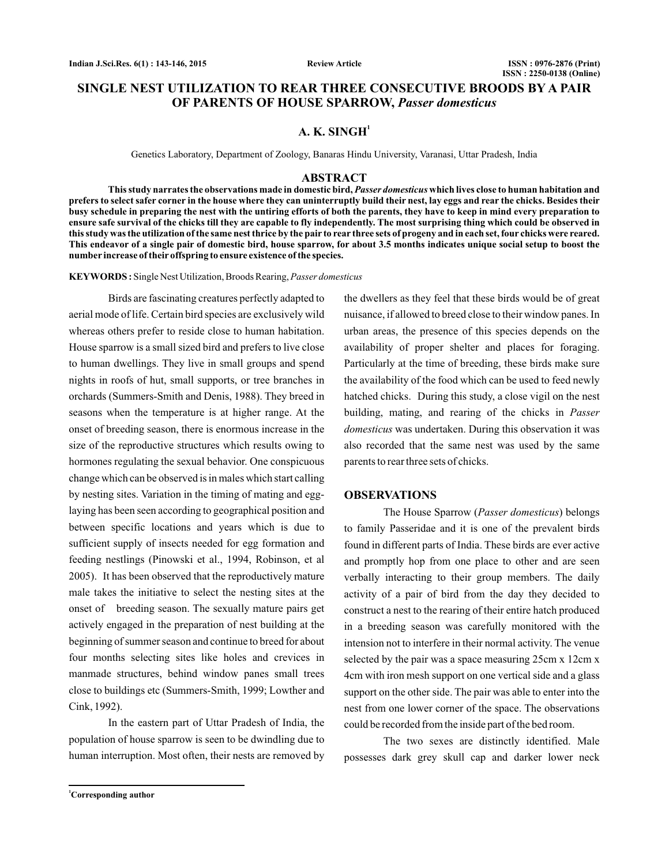# **SINGLE NEST UTILIZATION TO REAR THREE CONSECUTIVE BROODS BY A PAIR OF PARENTS OF HOUSE SPARROW,** *Passer domesticus*

# **A. K. SINGH<sup>1</sup>**

Genetics Laboratory, Department of Zoology, Banaras Hindu University, Varanasi, Uttar Pradesh, India

## **ABSTRACT**

This study narrates the observations made in domestic bird, *Passer domesticus* which lives close to human habitation and **prefers to select safer corner in the house where they can uninterruptly build their nest, lay eggs and rear the chicks. Besides their busy schedule in preparing the nest with the untiring efforts of both the parents, they have to keep in mind every preparation to ensure safe survival of the chicks till they are capable to fly independently. The most surprising thing which could be observed in this study was the utilization of the same nest thrice by the pair to rear three sets of progeny and in each set, four chicks were reared. This endeavor of a single pair of domestic bird, house sparrow, for about 3.5 months indicates unique social setup to boost the number increase of their offspring to ensure existence of the species.**

Single Nest Utilization, Broods Rearing, **KEYWORDS :** *Passer domesticus*

Birds are fascinating creatures perfectly adapted to aerial mode of life. Certain bird species are exclusively wild whereas others prefer to reside close to human habitation. House sparrow is a small sized bird and prefers to live close to human dwellings. They live in small groups and spend nights in roofs of hut, small supports, or tree branches in orchards (Summers-Smith and Denis, 1988). They breed in seasons when the temperature is at higher range. At the onset of breeding season, there is enormous increase in the size of the reproductive structures which results owing to hormones regulating the sexual behavior. One conspicuous change which can be observed is in males which start calling by nesting sites. Variation in the timing of mating and egglaying has been seen according to geographical position and between specific locations and years which is due to sufficient supply of insects needed for egg formation and feeding nestlings (Pinowski et al., 1994, Robinson, et al 2005). It has been observed that the reproductively mature male takes the initiative to select the nesting sites at the onset of breeding season. The sexually mature pairs get actively engaged in the preparation of nest building at the beginning of summer season and continue to breed for about four months selecting sites like holes and crevices in manmade structures, behind window panes small trees close to buildings etc (Summers-Smith, 1999; Lowther and Cink, 1992).

In the eastern part of Uttar Pradesh of India, the population of house sparrow is seen to be dwindling due to human interruption. Most often, their nests are removed by

the dwellers as they feel that these birds would be of great nuisance, if allowed to breed close to their window panes. In urban areas, the presence of this species depends on the availability of proper shelter and places for foraging. Particularly at the time of breeding, these birds make sure the availability of the food which can be used to feed newly hatched chicks. During this study, a close vigil on the nest building, mating, and rearing of the chicks in *Passer* domesticus was undertaken. During this observation it was also recorded that the same nest was used by the same parents to rear three sets of chicks.

## **OBSERVATIONS**

The House Sparrow (Passer domesticus) belongs to family Passeridae and it is one of the prevalent birds found in different parts of India. These birds are ever active and promptly hop from one place to other and are seen verbally interacting to their group members. The daily activity of a pair of bird from the day they decided to construct a nest to the rearing of their entire hatch produced in a breeding season was carefully monitored with the intension not to interfere in their normal activity. The venue selected by the pair was a space measuring 25cm x 12cm x 4cm with iron mesh support on one vertical side and a glass support on the other side. The pair was able to enter into the nest from one lower corner of the space. The observations could be recorded from the inside part of the bed room.

The two sexes are distinctly identified. Male possesses dark grey skull cap and darker lower neck

**<sup>1</sup>Corresponding author**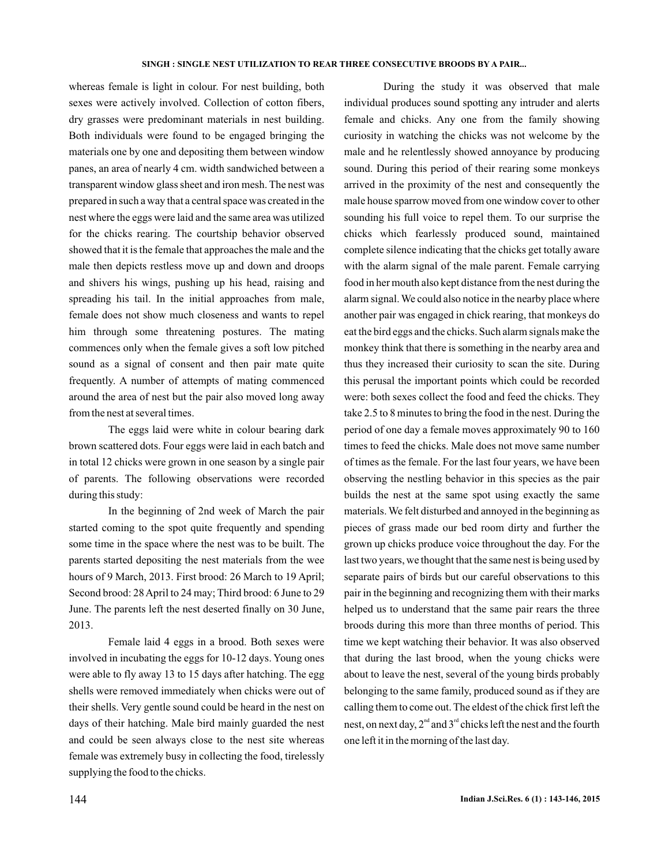#### **SINGH : SINGLE NEST UTILIZATION TO REAR THREE CONSECUTIVE BROODS BY A PAIR...**

whereas female is light in colour. For nest building, both sexes were actively involved. Collection of cotton fibers, dry grasses were predominant materials in nest building. Both individuals were found to be engaged bringing the materials one by one and depositing them between window panes, an area of nearly 4 cm. width sandwiched between a transparent window glass sheet and iron mesh. The nest was prepared in such a way that a central space was created in the nest where the eggs were laid and the same area was utilized for the chicks rearing. The courtship behavior observed showed that it is the female that approaches the male and the male then depicts restless move up and down and droops and shivers his wings, pushing up his head, raising and spreading his tail. In the initial approaches from male, female does not show much closeness and wants to repel him through some threatening postures. The mating commences only when the female gives a soft low pitched sound as a signal of consent and then pair mate quite frequently. A number of attempts of mating commenced around the area of nest but the pair also moved long away from the nest at several times.

The eggs laid were white in colour bearing dark brown scattered dots. Four eggs were laid in each batch and in total 12 chicks were grown in one season by a single pair of parents. The following observations were recorded during this study:

In the beginning of 2nd week of March the pair started coming to the spot quite frequently and spending some time in the space where the nest was to be built. The parents started depositing the nest materials from the wee hours of 9 March, 2013. First brood: 26 March to 19 April; Second brood: 28April to 24 may; Third brood: 6 June to 29 June. The parents left the nest deserted finally on 30 June, 2013.

Female laid 4 eggs in a brood. Both sexes were involved in incubating the eggs for 10-12 days. Young ones were able to fly away 13 to 15 days after hatching. The egg shells were removed immediately when chicks were out of their shells. Very gentle sound could be heard in the nest on days of their hatching. Male bird mainly guarded the nest and could be seen always close to the nest site whereas female was extremely busy in collecting the food, tirelessly supplying the food to the chicks.

During the study it was observed that male individual produces sound spotting any intruder and alerts female and chicks. Any one from the family showing curiosity in watching the chicks was not welcome by the male and he relentlessly showed annoyance by producing sound. During this period of their rearing some monkeys arrived in the proximity of the nest and consequently the male house sparrow moved from one window cover to other sounding his full voice to repel them. To our surprise the chicks which fearlessly produced sound, maintained complete silence indicating that the chicks get totally aware with the alarm signal of the male parent. Female carrying food in her mouth also kept distance from the nest during the alarm signal. We could also notice in the nearby place where another pair was engaged in chick rearing, that monkeys do eat the bird eggs and the chicks. Such alarm signals make the monkey think that there is something in the nearby area and thus they increased their curiosity to scan the site. During this perusal the important points which could be recorded were: both sexes collect the food and feed the chicks. They take 2.5 to 8 minutes to bring the food in the nest. During the period of one day a female moves approximately 90 to 160 times to feed the chicks. Male does not move same number of times as the female. For the last four years, we have been observing the nestling behavior in this species as the pair builds the nest at the same spot using exactly the same materials. We felt disturbed and annoyed in the beginning as pieces of grass made our bed room dirty and further the grown up chicks produce voice throughout the day. For the last two years, we thought that the same nest is being used by separate pairs of birds but our careful observations to this pair in the beginning and recognizing them with their marks helped us to understand that the same pair rears the three broods during this more than three months of period. This time we kept watching their behavior. It was also observed that during the last brood, when the young chicks were about to leave the nest, several of the young birds probably belonging to the same family, produced sound as if they are calling them to come out. The eldest of the chick first left the nest, on next day,  $2^{\text{nd}}$  and  $3^{\text{rd}}$  chicks left the nest and the fourth one left it in the morning of the last day.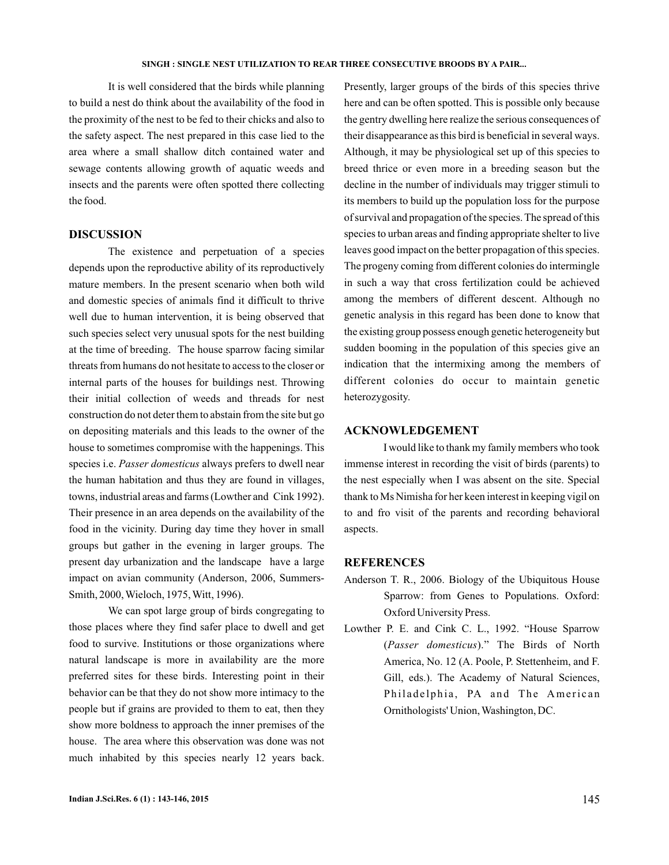It is well considered that the birds while planning to build a nest do think about the availability of the food in the proximity of the nest to be fed to their chicks and also to the safety aspect. The nest prepared in this case lied to the area where a small shallow ditch contained water and sewage contents allowing growth of aquatic weeds and insects and the parents were often spotted there collecting the food.

## **DISCUSSION**

The existence and perpetuation of a species depends upon the reproductive ability of its reproductively mature members. In the present scenario when both wild and domestic species of animals find it difficult to thrive well due to human intervention, it is being observed that such species select very unusual spots for the nest building at the time of breeding. The house sparrow facing similar threats from humans do not hesitate to access to the closer or internal parts of the houses for buildings nest. Throwing their initial collection of weeds and threads for nest construction do not deter them to abstain from the site but go on depositing materials and this leads to the owner of the house to sometimes compromise with the happenings. This species i.e. Passer domesticus always prefers to dwell near the human habitation and thus they are found in villages, towns, industrial areas and farms (Lowther and Cink 1992). Their presence in an area depends on the availability of the food in the vicinity. During day time they hover in small groups but gather in the evening in larger groups. The present day urbanization and the landscape have a large impact on avian community (Anderson, 2006, Summers-Smith, 2000, Wieloch, 1975, Witt, 1996).

We can spot large group of birds congregating to those places where they find safer place to dwell and get food to survive. Institutions or those organizations where natural landscape is more in availability are the more preferred sites for these birds. Interesting point in their behavior can be that they do not show more intimacy to the people but if grains are provided to them to eat, then they show more boldness to approach the inner premises of the house. The area where this observation was done was not much inhabited by this species nearly 12 years back.

Presently, larger groups of the birds of this species thrive here and can be often spotted. This is possible only because the gentry dwelling here realize the serious consequences of their disappearance as this bird is beneficial in several ways. Although, it may be physiological set up of this species to breed thrice or even more in a breeding season but the decline in the number of individuals may trigger stimuli to its members to build up the population loss for the purpose of survival and propagation of the species. The spread of this species to urban areas and finding appropriate shelter to live leaves good impact on the better propagation of this species. The progeny coming from different colonies do intermingle in such a way that cross fertilization could be achieved among the members of different descent. Although no genetic analysis in this regard has been done to know that the existing group possess enough genetic heterogeneity but sudden booming in the population of this species give an indication that the intermixing among the members of different colonies do occur to maintain genetic heterozygosity.

## **ACKNOWLEDGEMENT**

I would like to thank my family members who took immense interest in recording the visit of birds (parents) to the nest especially when I was absent on the site. Special thank to Ms Nimisha for her keen interest in keeping vigil on to and fro visit of the parents and recording behavioral aspects.

## **REFERENCES**

- Anderson T. R., 2006. Biology of the Ubiquitous House Sparrow: from Genes to Populations. Oxford: Oxford University Press.
- Lowther P. E. and Cink C. L., 1992. "House Sparrow (Passer domesticus)." The Birds of North America, No. 12 (A. Poole, P. Stettenheim, and F. Gill, eds.). The Academy of Natural Sciences, Philadelphia, PA and The American Ornithologists' Union, Washington, DC.